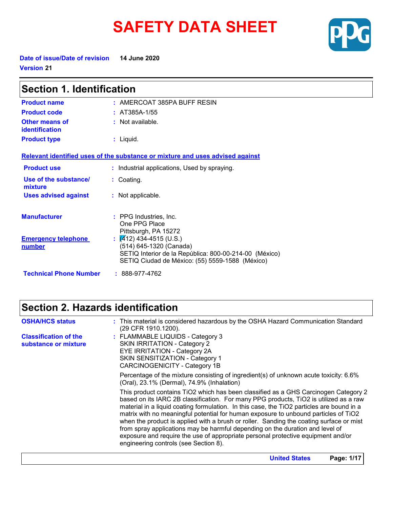# **SAFETY DATA SHEET**



**Date of issue/Date of revision 14 June 2020 Version 21**

| <b>Section 1. Identification</b>        |                                                                                                                                                                          |  |  |  |
|-----------------------------------------|--------------------------------------------------------------------------------------------------------------------------------------------------------------------------|--|--|--|
| <b>Product name</b>                     | $:$ AMERCOAT 385PA BUFF RESIN                                                                                                                                            |  |  |  |
| <b>Product code</b>                     | : $AT385A-1/55$                                                                                                                                                          |  |  |  |
| Other means of<br><b>identification</b> | $:$ Not available.                                                                                                                                                       |  |  |  |
| <b>Product type</b>                     | $:$ Liquid.                                                                                                                                                              |  |  |  |
|                                         | Relevant identified uses of the substance or mixture and uses advised against                                                                                            |  |  |  |
| <b>Product use</b>                      | : Industrial applications, Used by spraying.                                                                                                                             |  |  |  |
| Use of the substance/<br>mixture        | : Coating.                                                                                                                                                               |  |  |  |
| <b>Uses advised against</b>             | : Not applicable.                                                                                                                                                        |  |  |  |
| <b>Manufacturer</b>                     | : PPG Industries, Inc.<br>One PPG Place<br>Pittsburgh, PA 15272                                                                                                          |  |  |  |
| <b>Emergency telephone</b><br>number    | : $\sqrt{4}$ 12) 434-4515 (U.S.)<br>(514) 645-1320 (Canada)<br>SETIQ Interior de la República: 800-00-214-00 (México)<br>SETIQ Ciudad de México: (55) 5559-1588 (México) |  |  |  |
| <b>Technical Phone Number</b>           | $: 888-977-4762$                                                                                                                                                         |  |  |  |

# **Section 2. Hazards identification**

| <b>OSHA/HCS status</b>                               | : This material is considered hazardous by the OSHA Hazard Communication Standard<br>(29 CFR 1910.1200).                                                                                                                                                                                                                                                                                                                                                                                                                                                                                                                                                                  |
|------------------------------------------------------|---------------------------------------------------------------------------------------------------------------------------------------------------------------------------------------------------------------------------------------------------------------------------------------------------------------------------------------------------------------------------------------------------------------------------------------------------------------------------------------------------------------------------------------------------------------------------------------------------------------------------------------------------------------------------|
| <b>Classification of the</b><br>substance or mixture | : FLAMMABLE LIQUIDS - Category 3<br><b>SKIN IRRITATION - Category 2</b><br>EYE IRRITATION - Category 2A<br>SKIN SENSITIZATION - Category 1<br><b>CARCINOGENICITY - Category 1B</b>                                                                                                                                                                                                                                                                                                                                                                                                                                                                                        |
|                                                      | Percentage of the mixture consisting of ingredient(s) of unknown acute toxicity: 6.6%<br>(Oral), 23.1% (Dermal), 74.9% (Inhalation)                                                                                                                                                                                                                                                                                                                                                                                                                                                                                                                                       |
|                                                      | This product contains TiO2 which has been classified as a GHS Carcinogen Category 2<br>based on its IARC 2B classification. For many PPG products, TiO2 is utilized as a raw<br>material in a liquid coating formulation. In this case, the TiO2 particles are bound in a<br>matrix with no meaningful potential for human exposure to unbound particles of TiO2<br>when the product is applied with a brush or roller. Sanding the coating surface or mist<br>from spray applications may be harmful depending on the duration and level of<br>exposure and require the use of appropriate personal protective equipment and/or<br>engineering controls (see Section 8). |
|                                                      | Page: 1/17<br><b>United States</b>                                                                                                                                                                                                                                                                                                                                                                                                                                                                                                                                                                                                                                        |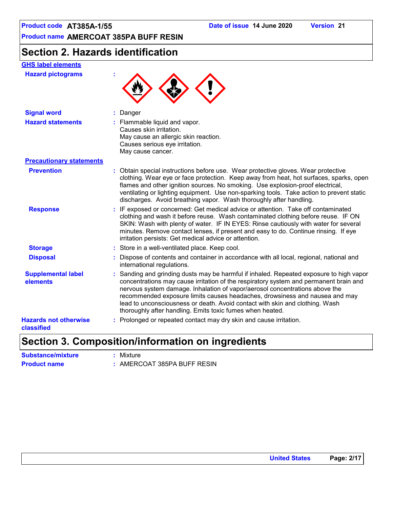## **Section 2. Hazards identification**

### **GHS label elements**

**Hazard pictograms :**



| <b>Signal word</b>                         | : Danger                                                                                                                                                                                                                                                                                                                                                                                                                                                                                    |
|--------------------------------------------|---------------------------------------------------------------------------------------------------------------------------------------------------------------------------------------------------------------------------------------------------------------------------------------------------------------------------------------------------------------------------------------------------------------------------------------------------------------------------------------------|
| <b>Hazard statements</b>                   | : Flammable liquid and vapor.<br>Causes skin irritation.<br>May cause an allergic skin reaction.<br>Causes serious eye irritation.<br>May cause cancer.                                                                                                                                                                                                                                                                                                                                     |
| <b>Precautionary statements</b>            |                                                                                                                                                                                                                                                                                                                                                                                                                                                                                             |
| <b>Prevention</b>                          | : Obtain special instructions before use. Wear protective gloves. Wear protective<br>clothing. Wear eye or face protection. Keep away from heat, hot surfaces, sparks, open<br>flames and other ignition sources. No smoking. Use explosion-proof electrical,<br>ventilating or lighting equipment. Use non-sparking tools. Take action to prevent static<br>discharges. Avoid breathing vapor. Wash thoroughly after handling.                                                             |
| <b>Response</b>                            | : IF exposed or concerned: Get medical advice or attention. Take off contaminated<br>clothing and wash it before reuse. Wash contaminated clothing before reuse. IF ON<br>SKIN: Wash with plenty of water. IF IN EYES: Rinse cautiously with water for several<br>minutes. Remove contact lenses, if present and easy to do. Continue rinsing. If eye<br>irritation persists: Get medical advice or attention.                                                                              |
| <b>Storage</b>                             | : Store in a well-ventilated place. Keep cool.                                                                                                                                                                                                                                                                                                                                                                                                                                              |
| <b>Disposal</b>                            | : Dispose of contents and container in accordance with all local, regional, national and<br>international regulations.                                                                                                                                                                                                                                                                                                                                                                      |
| <b>Supplemental label</b><br>elements      | : Sanding and grinding dusts may be harmful if inhaled. Repeated exposure to high vapor<br>concentrations may cause irritation of the respiratory system and permanent brain and<br>nervous system damage. Inhalation of vapor/aerosol concentrations above the<br>recommended exposure limits causes headaches, drowsiness and nausea and may<br>lead to unconsciousness or death. Avoid contact with skin and clothing. Wash<br>thoroughly after handling. Emits toxic fumes when heated. |
| <b>Hazards not otherwise</b><br>classified | : Prolonged or repeated contact may dry skin and cause irritation.                                                                                                                                                                                                                                                                                                                                                                                                                          |

### **Section 3. Composition/information on ingredients**

| <b>Substance/mixture</b> | : Mixture                   |
|--------------------------|-----------------------------|
| <b>Product name</b>      | : AMERCOAT 385PA BUFF RESIN |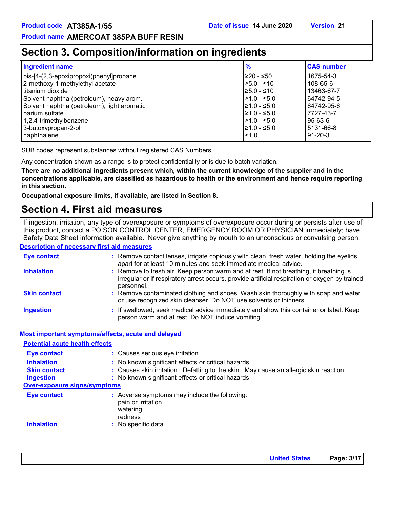### **Section 3. Composition/information on ingredients**

| <b>Ingredient name</b>                      | $\frac{9}{6}$    | <b>CAS number</b> |
|---------------------------------------------|------------------|-------------------|
| bis-[4-(2,3-epoxipropoxi)phenyl]propane     | I≥20 - ≤50       | 1675-54-3         |
| 2-methoxy-1-methylethyl acetate             | $\geq 5.0 - 510$ | 108-65-6          |
| titanium dioxide                            | $\geq 5.0 - 510$ | 13463-67-7        |
| Solvent naphtha (petroleum), heavy arom.    | $\geq 1.0 - 5.0$ | 64742-94-5        |
| Solvent naphtha (petroleum), light aromatic | $≥1.0 - ≤5.0$    | 64742-95-6        |
| barium sulfate                              | $≥1.0 - ≤5.0$    | 7727-43-7         |
| 1,2,4-trimethylbenzene                      | l≥1.0 - ≤5.0     | 95-63-6           |
| 3-butoxypropan-2-ol                         | $\geq 1.0 - 5.0$ | 5131-66-8         |
| naphthalene                                 | $\leq 1.0$       | $91 - 20 - 3$     |

SUB codes represent substances without registered CAS Numbers.

Any concentration shown as a range is to protect confidentiality or is due to batch variation.

**There are no additional ingredients present which, within the current knowledge of the supplier and in the concentrations applicable, are classified as hazardous to health or the environment and hence require reporting in this section.**

**Occupational exposure limits, if available, are listed in Section 8.**

### **Section 4. First aid measures**

**Description of necessary first aid measures** If ingestion, irritation, any type of overexposure or symptoms of overexposure occur during or persists after use of this product, contact a POISON CONTROL CENTER, EMERGENCY ROOM OR PHYSICIAN immediately; have Safety Data Sheet information available. Never give anything by mouth to an unconscious or convulsing person.

| <b>Eye contact</b>  | : Remove contact lenses, irrigate copiously with clean, fresh water, holding the eyelids<br>apart for at least 10 minutes and seek immediate medical advice.                                           |
|---------------------|--------------------------------------------------------------------------------------------------------------------------------------------------------------------------------------------------------|
| <b>Inhalation</b>   | : Remove to fresh air. Keep person warm and at rest. If not breathing, if breathing is<br>irregular or if respiratory arrest occurs, provide artificial respiration or oxygen by trained<br>personnel. |
| <b>Skin contact</b> | : Remove contaminated clothing and shoes. Wash skin thoroughly with soap and water<br>or use recognized skin cleanser. Do NOT use solvents or thinners.                                                |
| <b>Ingestion</b>    | : If swallowed, seek medical advice immediately and show this container or label. Keep<br>person warm and at rest. Do NOT induce vomiting.                                                             |

**Most important symptoms/effects, acute and delayed**

**Inhalation : Ingestion : Skin contact : Eye contact : Over-exposure signs/symptoms Inhalation :** No specific data. **Eye contact :** Adverse symptoms may include the following: pain or irritation watering redness **Potential acute health effects** Causes serious eye irritation. : No known significant effects or critical hazards. : No known significant effects or critical hazards. Causes skin irritation. Defatting to the skin. May cause an allergic skin reaction.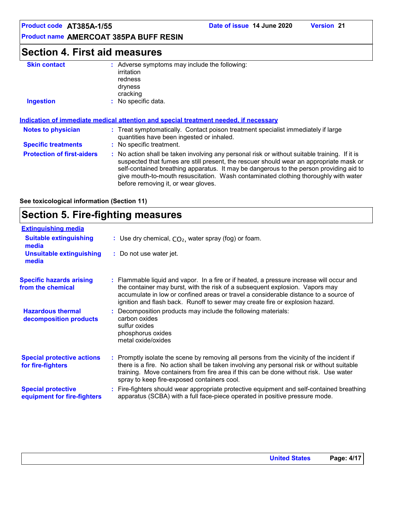### **Section 4. First aid measures**

| <b>Skin contact</b>               | : Adverse symptoms may include the following:<br>irritation<br>redness                                                                                                                                                                                                                                                                                                   |
|-----------------------------------|--------------------------------------------------------------------------------------------------------------------------------------------------------------------------------------------------------------------------------------------------------------------------------------------------------------------------------------------------------------------------|
|                                   | dryness<br>cracking                                                                                                                                                                                                                                                                                                                                                      |
| <b>Ingestion</b>                  | No specific data.                                                                                                                                                                                                                                                                                                                                                        |
| <b>Notes to physician</b>         | Indication of immediate medical attention and special treatment needed, if necessary<br>: Treat symptomatically. Contact poison treatment specialist immediately if large<br>quantities have been ingested or inhaled.                                                                                                                                                   |
| <b>Specific treatments</b>        | : No specific treatment.                                                                                                                                                                                                                                                                                                                                                 |
| <b>Protection of first-aiders</b> | : No action shall be taken involving any personal risk or without suitable training. If it is<br>suspected that fumes are still present, the rescuer should wear an appropriate mask or<br>self-contained breathing apparatus. It may be dangerous to the person providing aid to<br>give mouth-to-mouth resuscitation. Wash contaminated clothing thoroughly with water |

before removing it, or wear gloves.

**See toxicological information (Section 11)**

### **Section 5. Fire-fighting measures**

| <b>Extinguishing media</b>                               |                                                                                                                                                                                                                                                                                                                                                   |
|----------------------------------------------------------|---------------------------------------------------------------------------------------------------------------------------------------------------------------------------------------------------------------------------------------------------------------------------------------------------------------------------------------------------|
| <b>Suitable extinguishing</b><br>media                   | : Use dry chemical, $CO2$ , water spray (fog) or foam.                                                                                                                                                                                                                                                                                            |
| <b>Unsuitable extinguishing</b><br>media                 | : Do not use water jet.                                                                                                                                                                                                                                                                                                                           |
| <b>Specific hazards arising</b><br>from the chemical     | : Flammable liquid and vapor. In a fire or if heated, a pressure increase will occur and<br>the container may burst, with the risk of a subsequent explosion. Vapors may<br>accumulate in low or confined areas or travel a considerable distance to a source of<br>ignition and flash back. Runoff to sewer may create fire or explosion hazard. |
| <b>Hazardous thermal</b><br>decomposition products       | : Decomposition products may include the following materials:<br>carbon oxides<br>sulfur oxides<br>phosphorus oxides<br>metal oxide/oxides                                                                                                                                                                                                        |
| <b>Special protective actions</b><br>for fire-fighters   | : Promptly isolate the scene by removing all persons from the vicinity of the incident if<br>there is a fire. No action shall be taken involving any personal risk or without suitable<br>training. Move containers from fire area if this can be done without risk. Use water<br>spray to keep fire-exposed containers cool.                     |
| <b>Special protective</b><br>equipment for fire-fighters | Fire-fighters should wear appropriate protective equipment and self-contained breathing<br>apparatus (SCBA) with a full face-piece operated in positive pressure mode.                                                                                                                                                                            |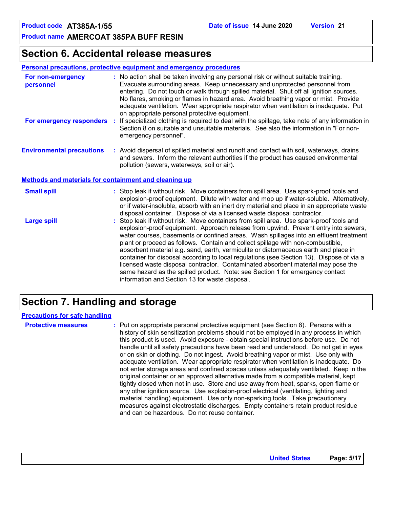### **Section 6. Accidental release measures**

#### **Personal precautions, protective equipment and emergency procedures**

| For non-emergency<br>personnel                        |    | : No action shall be taken involving any personal risk or without suitable training.<br>Evacuate surrounding areas. Keep unnecessary and unprotected personnel from<br>entering. Do not touch or walk through spilled material. Shut off all ignition sources.<br>No flares, smoking or flames in hazard area. Avoid breathing vapor or mist. Provide<br>adequate ventilation. Wear appropriate respirator when ventilation is inadequate. Put                                                                                                  |
|-------------------------------------------------------|----|-------------------------------------------------------------------------------------------------------------------------------------------------------------------------------------------------------------------------------------------------------------------------------------------------------------------------------------------------------------------------------------------------------------------------------------------------------------------------------------------------------------------------------------------------|
| For emergency responders                              | ÷. | on appropriate personal protective equipment.<br>If specialized clothing is required to deal with the spillage, take note of any information in<br>Section 8 on suitable and unsuitable materials. See also the information in "For non-<br>emergency personnel".                                                                                                                                                                                                                                                                               |
| <b>Environmental precautions</b>                      |    | : Avoid dispersal of spilled material and runoff and contact with soil, waterways, drains<br>and sewers. Inform the relevant authorities if the product has caused environmental<br>pollution (sewers, waterways, soil or air).                                                                                                                                                                                                                                                                                                                 |
| Methods and materials for containment and cleaning up |    |                                                                                                                                                                                                                                                                                                                                                                                                                                                                                                                                                 |
| <b>Small spill</b>                                    |    | : Stop leak if without risk. Move containers from spill area. Use spark-proof tools and<br>explosion-proof equipment. Dilute with water and mop up if water-soluble. Alternatively,<br>or if water-insoluble, absorb with an inert dry material and place in an appropriate waste<br>disposal container. Dispose of via a licensed waste disposal contractor.                                                                                                                                                                                   |
| <b>Large spill</b>                                    |    | : Stop leak if without risk. Move containers from spill area. Use spark-proof tools and<br>explosion-proof equipment. Approach release from upwind. Prevent entry into sewers,<br>water courses, basements or confined areas. Wash spillages into an effluent treatment<br>plant or proceed as follows. Contain and collect spillage with non-combustible,<br>absorbent material e.g. sand, earth, vermiculite or diatomaceous earth and place in<br>container for dispessol according to local requisitions (see Section 12) Dispesse of via a |

container for disposal according to local regulations (see Section 13). Dispose of via a licensed waste disposal contractor. Contaminated absorbent material may pose the same hazard as the spilled product. Note: see Section 1 for emergency contact information and Section 13 for waste disposal.

### **Section 7. Handling and storage**

#### **Precautions for safe handling**

**Protective measures the C**: Put on appropriate personal protective equipment (see Section 8). Persons with a **Protes** history of skin sensitization problems should not be employed in any process in which this product is used. Avoid exposure - obtain special instructions before use. Do not handle until all safety precautions have been read and understood. Do not get in eyes or on skin or clothing. Do not ingest. Avoid breathing vapor or mist. Use only with adequate ventilation. Wear appropriate respirator when ventilation is inadequate. Do not enter storage areas and confined spaces unless adequately ventilated. Keep in the original container or an approved alternative made from a compatible material, kept tightly closed when not in use. Store and use away from heat, sparks, open flame or any other ignition source. Use explosion-proof electrical (ventilating, lighting and material handling) equipment. Use only non-sparking tools. Take precautionary measures against electrostatic discharges. Empty containers retain product residue and can be hazardous. Do not reuse container.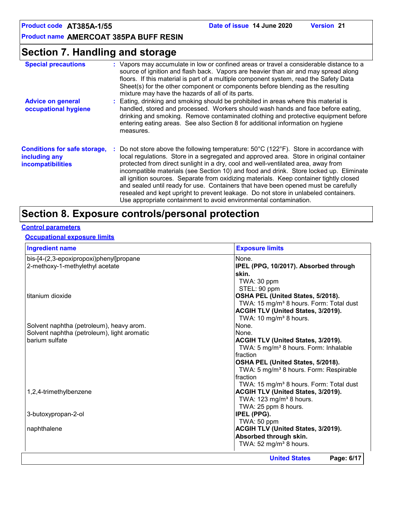### **Section 7. Handling and storage**

| <b>Special precautions</b>                                                       | : Vapors may accumulate in low or confined areas or travel a considerable distance to a<br>source of ignition and flash back. Vapors are heavier than air and may spread along<br>floors. If this material is part of a multiple component system, read the Safety Data<br>Sheet(s) for the other component or components before blending as the resulting<br>mixture may have the hazards of all of its parts.                                                                                                                                                                                                                                                                                                                   |
|----------------------------------------------------------------------------------|-----------------------------------------------------------------------------------------------------------------------------------------------------------------------------------------------------------------------------------------------------------------------------------------------------------------------------------------------------------------------------------------------------------------------------------------------------------------------------------------------------------------------------------------------------------------------------------------------------------------------------------------------------------------------------------------------------------------------------------|
| <b>Advice on general</b><br>occupational hygiene                                 | : Eating, drinking and smoking should be prohibited in areas where this material is<br>handled, stored and processed. Workers should wash hands and face before eating,<br>drinking and smoking. Remove contaminated clothing and protective equipment before<br>entering eating areas. See also Section 8 for additional information on hygiene<br>measures.                                                                                                                                                                                                                                                                                                                                                                     |
| <b>Conditions for safe storage,</b><br>including any<br><b>incompatibilities</b> | : Do not store above the following temperature: $50^{\circ}$ C (122 $^{\circ}$ F). Store in accordance with<br>local regulations. Store in a segregated and approved area. Store in original container<br>protected from direct sunlight in a dry, cool and well-ventilated area, away from<br>incompatible materials (see Section 10) and food and drink. Store locked up. Eliminate<br>all ignition sources. Separate from oxidizing materials. Keep container tightly closed<br>and sealed until ready for use. Containers that have been opened must be carefully<br>resealed and kept upright to prevent leakage. Do not store in unlabeled containers.<br>Use appropriate containment to avoid environmental contamination. |

# **Section 8. Exposure controls/personal protection**

### **Control parameters**

#### **Occupational exposure limits**

| <b>Ingredient name</b>                      | <b>Exposure limits</b>                              |  |  |
|---------------------------------------------|-----------------------------------------------------|--|--|
| bis-[4-(2,3-epoxipropoxi)phenyl]propane     | None.                                               |  |  |
| 2-methoxy-1-methylethyl acetate             | IPEL (PPG, 10/2017). Absorbed through               |  |  |
|                                             | skin.                                               |  |  |
|                                             | TWA: 30 ppm                                         |  |  |
|                                             | STEL: 90 ppm                                        |  |  |
| titanium dioxide                            | OSHA PEL (United States, 5/2018).                   |  |  |
|                                             | TWA: 15 mg/m <sup>3</sup> 8 hours. Form: Total dust |  |  |
|                                             | ACGIH TLV (United States, 3/2019).                  |  |  |
|                                             | TWA: 10 mg/m <sup>3</sup> 8 hours.                  |  |  |
| Solvent naphtha (petroleum), heavy arom.    | None.                                               |  |  |
| Solvent naphtha (petroleum), light aromatic | None.                                               |  |  |
| barium sulfate                              | <b>ACGIH TLV (United States, 3/2019).</b>           |  |  |
|                                             | TWA: 5 mg/m <sup>3</sup> 8 hours. Form: Inhalable   |  |  |
|                                             | Ifraction                                           |  |  |
|                                             | OSHA PEL (United States, 5/2018).                   |  |  |
|                                             | TWA: 5 mg/m <sup>3</sup> 8 hours. Form: Respirable  |  |  |
|                                             | Ifraction                                           |  |  |
|                                             | TWA: 15 mg/m <sup>3</sup> 8 hours. Form: Total dust |  |  |
| 1,2,4-trimethylbenzene                      | ACGIH TLV (United States, 3/2019).                  |  |  |
|                                             | TWA: 123 mg/m <sup>3</sup> 8 hours.                 |  |  |
|                                             | TWA: 25 ppm 8 hours.                                |  |  |
| 3-butoxypropan-2-ol                         | IPEL (PPG).                                         |  |  |
|                                             | TWA: 50 ppm                                         |  |  |
| naphthalene                                 | ACGIH TLV (United States, 3/2019).                  |  |  |
|                                             | Absorbed through skin.                              |  |  |
|                                             | TWA: 52 mg/m <sup>3</sup> 8 hours.                  |  |  |
|                                             | <b>United States</b><br>Page: 6/17                  |  |  |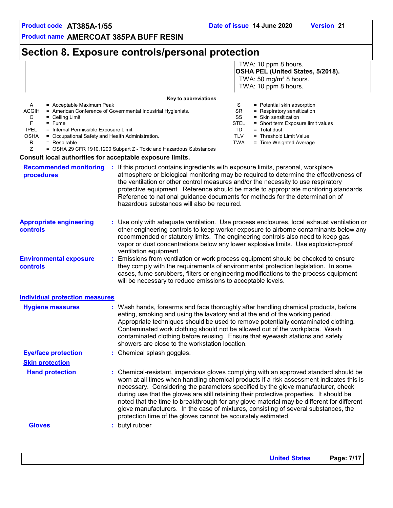### **Section 8. Exposure controls/personal protection**

 TWA: 10 ppm 8 hours. **OSHA PEL (United States, 5/2018).** TWA:  $50 \text{ mg/m}^3$  8 hours. TWA: 10 ppm 8 hours.

| $=$ Acceptable Maximum Peak                                  | S                    | = Potential skin absorption        |
|--------------------------------------------------------------|----------------------|------------------------------------|
| = American Conference of Governmental Industrial Hygienists. | SR.                  | = Respiratory sensitization        |
| $=$ Ceiling Limit                                            | SS                   | $=$ Skin sensitization             |
| $=$ Fume                                                     | <b>STEL</b>          | = Short term Exposure limit values |
| = Internal Permissible Exposure Limit                        | TD                   | $=$ Total dust                     |
| = Occupational Safety and Health Administration.             | TLV                  | = Threshold Limit Value            |
| $=$ Respirable                                               | TWA                  | $=$ Time Weighted Average          |
|                                                              | Key to abbreviations |                                    |

Z = OSHA 29 CFR 1910.1200 Subpart Z - Toxic and Hazardous Substances

#### **Consult local authorities for acceptable exposure limits.**

**Gloves :** butyl rubber

| <b>Recommended monitoring</b><br>procedures       | If this product contains ingredients with exposure limits, personal, workplace<br>atmosphere or biological monitoring may be required to determine the effectiveness of<br>the ventilation or other control measures and/or the necessity to use respiratory<br>protective equipment. Reference should be made to appropriate monitoring standards.<br>Reference to national guidance documents for methods for the determination of<br>hazardous substances will also be required. |
|---------------------------------------------------|-------------------------------------------------------------------------------------------------------------------------------------------------------------------------------------------------------------------------------------------------------------------------------------------------------------------------------------------------------------------------------------------------------------------------------------------------------------------------------------|
| <b>Appropriate engineering</b><br><b>controls</b> | : Use only with adequate ventilation. Use process enclosures, local exhaust ventilation or<br>other engineering controls to keep worker exposure to airborne contaminants below any<br>recommended or statutory limits. The engineering controls also need to keep gas,<br>vapor or dust concentrations below any lower explosive limits. Use explosion-proof<br>ventilation equipment.                                                                                             |
| <b>Environmental exposure</b><br>controls         | Emissions from ventilation or work process equipment should be checked to ensure<br>they comply with the requirements of environmental protection legislation. In some<br>cases, fume scrubbers, filters or engineering modifications to the process equipment<br>will be necessary to reduce emissions to acceptable levels.                                                                                                                                                       |
| <b>Individual protection measures</b>             |                                                                                                                                                                                                                                                                                                                                                                                                                                                                                     |
| <b>Hygiene measures</b>                           | : Wash hands, forearms and face thoroughly after handling chemical products, before<br>eating, smoking and using the lavatory and at the end of the working period.<br>Appropriate techniques should be used to remove potentially contaminated clothing.<br>Contaminated work clothing should not be allowed out of the workplace. Wash<br>contaminated clothing before reusing. Ensure that eyewash stations and safety<br>showers are close to the workstation location.         |
| <b>Eye/face protection</b>                        | : Chemical splash goggles.                                                                                                                                                                                                                                                                                                                                                                                                                                                          |
| <b>Skin protection</b>                            |                                                                                                                                                                                                                                                                                                                                                                                                                                                                                     |

**Hand protection The Chemical-resistant, impervious gloves complying with an approved standard should be <b>inverted** 

protection time of the gloves cannot be accurately estimated.

worn at all times when handling chemical products if a risk assessment indicates this is necessary. Considering the parameters specified by the glove manufacturer, check during use that the gloves are still retaining their protective properties. It should be noted that the time to breakthrough for any glove material may be different for different glove manufacturers. In the case of mixtures, consisting of several substances, the

**United States Page: 7/17**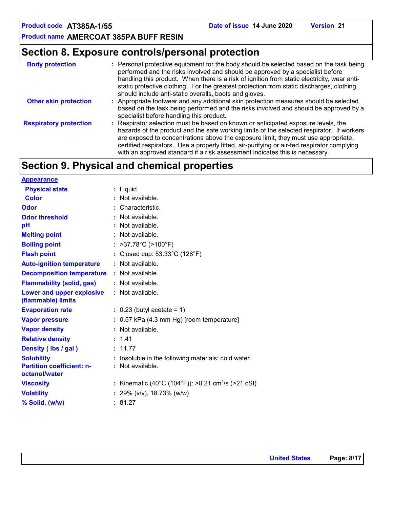### **Section 8. Exposure controls/personal protection**

| <b>Body protection</b>        | : Personal protective equipment for the body should be selected based on the task being<br>performed and the risks involved and should be approved by a specialist before<br>handling this product. When there is a risk of ignition from static electricity, wear anti-<br>static protective clothing. For the greatest protection from static discharges, clothing<br>should include anti-static overalls, boots and gloves.                     |
|-------------------------------|----------------------------------------------------------------------------------------------------------------------------------------------------------------------------------------------------------------------------------------------------------------------------------------------------------------------------------------------------------------------------------------------------------------------------------------------------|
| <b>Other skin protection</b>  | : Appropriate footwear and any additional skin protection measures should be selected<br>based on the task being performed and the risks involved and should be approved by a<br>specialist before handling this product.                                                                                                                                                                                                                          |
| <b>Respiratory protection</b> | : Respirator selection must be based on known or anticipated exposure levels, the<br>hazards of the product and the safe working limits of the selected respirator. If workers<br>are exposed to concentrations above the exposure limit, they must use appropriate,<br>certified respirators. Use a properly fitted, air-purifying or air-fed respirator complying<br>with an approved standard if a risk assessment indicates this is necessary. |

### **Section 9. Physical and chemical properties**

| $:$ Liquid.                                                    |
|----------------------------------------------------------------|
| $:$ Not available.                                             |
| : Characteristic.                                              |
| $\cdot$ Not available.                                         |
| $:$ Not available.                                             |
| : Not available.                                               |
| : $>37.78^{\circ}C$ ( $>100^{\circ}F$ )                        |
| : Closed cup: 53.33°C (128°F)                                  |
| $:$ Not available.                                             |
| : Not available.                                               |
| : Not available.                                               |
| : Not available.                                               |
| $\therefore$ 0.23 (butyl acetate = 1)                          |
| $: 0.57$ kPa (4.3 mm Hg) [room temperature]                    |
| : Not available.                                               |
| : 1.41                                                         |
| : 11.77                                                        |
| Insoluble in the following materials: cold water.              |
| : Not available.                                               |
| : Kinematic (40°C (104°F)): >0.21 cm <sup>2</sup> /s (>21 cSt) |
| : 29% ( $v/v$ ), 18.73% ( $w/w$ )                              |
| : 81.27                                                        |
|                                                                |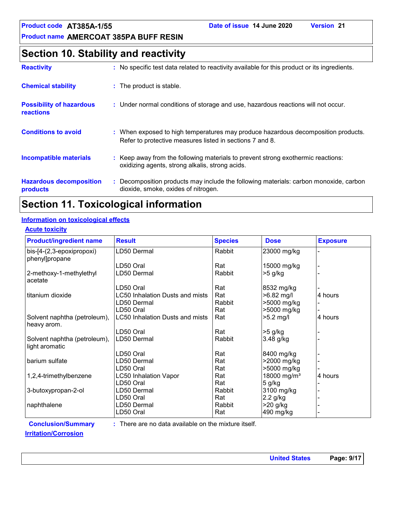### **Section 10. Stability and reactivity**

| <b>Reactivity</b>                            | : No specific test data related to reactivity available for this product or its ingredients.                                                  |
|----------------------------------------------|-----------------------------------------------------------------------------------------------------------------------------------------------|
| <b>Chemical stability</b>                    | : The product is stable.                                                                                                                      |
| <b>Possibility of hazardous</b><br>reactions | : Under normal conditions of storage and use, hazardous reactions will not occur.                                                             |
| <b>Conditions to avoid</b>                   | : When exposed to high temperatures may produce hazardous decomposition products.<br>Refer to protective measures listed in sections 7 and 8. |
| <b>Incompatible materials</b>                | : Keep away from the following materials to prevent strong exothermic reactions:<br>oxidizing agents, strong alkalis, strong acids.           |
| <b>Hazardous decomposition</b><br>products   | Decomposition products may include the following materials: carbon monoxide, carbon<br>dioxide, smoke, oxides of nitrogen.                    |

## **Section 11. Toxicological information**

#### **Information on toxicological effects**

#### **Acute toxicity**

| <b>Product/ingredient name</b>                 | <b>Result</b>                          | <b>Species</b> | <b>Dose</b>             | <b>Exposure</b> |
|------------------------------------------------|----------------------------------------|----------------|-------------------------|-----------------|
| bis-[4-(2,3-epoxipropoxi)<br>phenyl]propane    | LD50 Dermal                            | Rabbit         | 23000 mg/kg             |                 |
|                                                | LD50 Oral                              | Rat            | 15000 mg/kg             |                 |
| 2-methoxy-1-methylethyl<br>acetate             | LD50 Dermal                            | Rabbit         | $>5$ g/kg               |                 |
|                                                | LD50 Oral                              | Rat            | 8532 mg/kg              |                 |
| titanium dioxide                               | <b>LC50 Inhalation Dusts and mists</b> | Rat            | >6.82 mg/l              | 4 hours         |
|                                                | LD50 Dermal                            | Rabbit         | >5000 mg/kg             |                 |
|                                                | LD50 Oral                              | Rat            | >5000 mg/kg             |                 |
| Solvent naphtha (petroleum),<br>heavy arom.    | LC50 Inhalation Dusts and mists        | Rat            | $>5.2$ mg/l             | 4 hours         |
|                                                | LD50 Oral                              | Rat            | >5 g/kg                 |                 |
| Solvent naphtha (petroleum),<br>light aromatic | LD50 Dermal                            | Rabbit         | 3.48 g/kg               |                 |
|                                                | LD50 Oral                              | Rat            | 8400 mg/kg              |                 |
| barium sulfate                                 | LD50 Dermal                            | Rat            | >2000 mg/kg             |                 |
|                                                | LD50 Oral                              | Rat            | >5000 mg/kg             |                 |
| 1,2,4-trimethylbenzene                         | <b>LC50 Inhalation Vapor</b>           | Rat            | 18000 mg/m <sup>3</sup> | 4 hours         |
|                                                | LD50 Oral                              | Rat            | 5 g/kg                  |                 |
| 3-butoxypropan-2-ol                            | LD50 Dermal                            | Rabbit         | 3100 mg/kg              |                 |
|                                                | LD50 Oral                              | Rat            | 2.2 g/kg                |                 |
| naphthalene                                    | LD50 Dermal                            | Rabbit         | >20 g/kg                |                 |
|                                                | LD50 Oral                              | Rat            | 490 mg/kg               |                 |

**Conclusion/Summary :**

: There are no data available on the mixture itself.

#### **Irritation/Corrosion**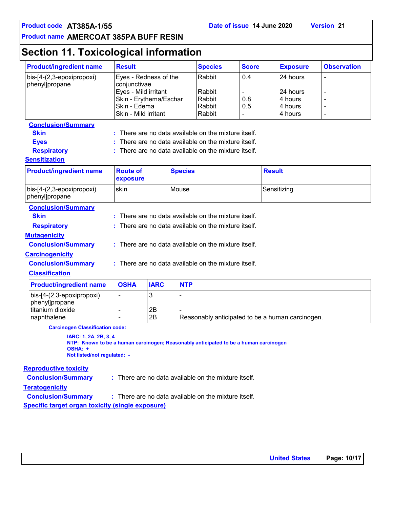# **Section 11. Toxicological information**

| <b>Product/ingredient name</b>                                                                                                                          | <b>Result</b>                                                                                                                   |             |                | <b>Species</b>                                                                                           | <b>Score</b>      |               | <b>Exposure</b>                                       | <b>Observation</b> |
|---------------------------------------------------------------------------------------------------------------------------------------------------------|---------------------------------------------------------------------------------------------------------------------------------|-------------|----------------|----------------------------------------------------------------------------------------------------------|-------------------|---------------|-------------------------------------------------------|--------------------|
| bis-[4-(2,3-epoxipropoxi)<br>phenyl]propane                                                                                                             | Eyes - Redness of the<br>conjunctivae<br>Eyes - Mild irritant<br>Skin - Erythema/Eschar<br>Skin - Edema<br>Skin - Mild irritant |             |                | Rabbit<br>Rabbit<br>Rabbit<br>Rabbit<br>Rabbit                                                           | 0.4<br>0.8<br>0.5 |               | 24 hours<br>24 hours<br>4 hours<br>4 hours<br>4 hours | ÷,<br>۰            |
| <b>Conclusion/Summary</b>                                                                                                                               |                                                                                                                                 |             |                |                                                                                                          |                   |               |                                                       |                    |
| <b>Skin</b>                                                                                                                                             |                                                                                                                                 |             |                | There are no data available on the mixture itself.                                                       |                   |               |                                                       |                    |
| <b>Eyes</b>                                                                                                                                             |                                                                                                                                 |             |                | There are no data available on the mixture itself.                                                       |                   |               |                                                       |                    |
| <b>Respiratory</b>                                                                                                                                      |                                                                                                                                 |             |                | There are no data available on the mixture itself.                                                       |                   |               |                                                       |                    |
| <b>Sensitization</b>                                                                                                                                    |                                                                                                                                 |             |                |                                                                                                          |                   |               |                                                       |                    |
| <b>Product/ingredient name</b>                                                                                                                          | <b>Route of</b><br>exposure                                                                                                     |             | <b>Species</b> |                                                                                                          |                   | <b>Result</b> |                                                       |                    |
| bis-[4-(2,3-epoxipropoxi)<br>phenyl]propane                                                                                                             | skin                                                                                                                            |             | Mouse          |                                                                                                          |                   |               | Sensitizing                                           |                    |
| <b>Conclusion/Summary</b><br><b>Skin</b><br><b>Respiratory</b>                                                                                          |                                                                                                                                 |             |                | There are no data available on the mixture itself.<br>There are no data available on the mixture itself. |                   |               |                                                       |                    |
| <b>Mutagenicity</b><br><b>Conclusion/Summary</b>                                                                                                        |                                                                                                                                 |             |                | : There are no data available on the mixture itself.                                                     |                   |               |                                                       |                    |
| <b>Carcinogenicity</b>                                                                                                                                  |                                                                                                                                 |             |                |                                                                                                          |                   |               |                                                       |                    |
| <b>Conclusion/Summary</b>                                                                                                                               |                                                                                                                                 |             |                | : There are no data available on the mixture itself.                                                     |                   |               |                                                       |                    |
| <b>Classification</b>                                                                                                                                   |                                                                                                                                 |             |                |                                                                                                          |                   |               |                                                       |                    |
| <b>Product/ingredient name</b>                                                                                                                          | <b>OSHA</b>                                                                                                                     | <b>IARC</b> | <b>NTP</b>     |                                                                                                          |                   |               |                                                       |                    |
| bis-[4-(2,3-epoxipropoxi)<br>phenyl]propane<br>titanium dioxide                                                                                         | ÷,                                                                                                                              | 3           |                |                                                                                                          |                   |               |                                                       |                    |
| naphthalene                                                                                                                                             |                                                                                                                                 | 2B<br>2B    |                | Reasonably anticipated to be a human carcinogen.                                                         |                   |               |                                                       |                    |
| <b>Carcinogen Classification code:</b>                                                                                                                  |                                                                                                                                 |             |                |                                                                                                          |                   |               |                                                       |                    |
| IARC: 1, 2A, 2B, 3, 4<br>NTP: Known to be a human carcinogen; Reasonably anticipated to be a human carcinogen<br>OSHA: +<br>Not listed/not regulated: - |                                                                                                                                 |             |                |                                                                                                          |                   |               |                                                       |                    |
| <b>Reproductive toxicity</b>                                                                                                                            |                                                                                                                                 |             |                |                                                                                                          |                   |               |                                                       |                    |
| <b>Conclusion/Summary</b>                                                                                                                               |                                                                                                                                 |             |                | : There are no data available on the mixture itself.                                                     |                   |               |                                                       |                    |
| <b>Teratogenicity</b>                                                                                                                                   |                                                                                                                                 |             |                |                                                                                                          |                   |               |                                                       |                    |
| <b>Conclusion/Summary</b>                                                                                                                               |                                                                                                                                 |             |                | : There are no data available on the mixture itself.                                                     |                   |               |                                                       |                    |

**Specific target organ toxicity (single exposure)**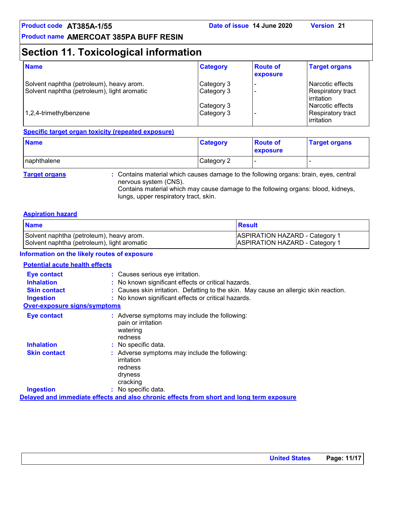### **Section 11. Toxicological information**

| <b>Name</b>                                                                             | <b>Category</b>           | <b>Route of</b><br>exposure | <b>Target organs</b>                                     |
|-----------------------------------------------------------------------------------------|---------------------------|-----------------------------|----------------------------------------------------------|
| Solvent naphtha (petroleum), heavy arom.<br>Solvent naphtha (petroleum), light aromatic | Category 3<br>Category 3  |                             | l Narcotic effects<br>Respiratory tract<br>l irritation. |
| 1,2,4-trimethylbenzene                                                                  | Category 3<br> Category 3 |                             | l Narcotic effects<br>Respiratory tract<br>irritation    |

#### **Specific target organ toxicity (repeated exposure)**

| <b>Name</b>          |                                                                                       | <b>Category</b> | <b>Route of</b><br><b>exposure</b> | <b>Target organs</b> |
|----------------------|---------------------------------------------------------------------------------------|-----------------|------------------------------------|----------------------|
| naphthalene          |                                                                                       | Category 2      |                                    |                      |
| <b>Target organs</b> | : Contains material which causes damage to the following organs: brain, eyes, central |                 |                                    |                      |

nervous system (CNS). Contains material which may cause damage to the following organs: blood, kidneys, lungs, upper respiratory tract, skin.

#### **Aspiration hazard**

| <b>Name</b>                                 | Result                                |
|---------------------------------------------|---------------------------------------|
| Solvent naphtha (petroleum), heavy arom.    | <b>ASPIRATION HAZARD - Category 1</b> |
| Solvent naphtha (petroleum), light aromatic | <b>ASPIRATION HAZARD - Category 1</b> |

#### **Information on the likely routes of exposure**

#### **Potential acute health effects**

| <b>Eye contact</b>                  | : Causes serious eye irritation.                                                              |
|-------------------------------------|-----------------------------------------------------------------------------------------------|
| <b>Inhalation</b>                   | : No known significant effects or critical hazards.                                           |
| <b>Skin contact</b>                 | : Causes skin irritation. Defatting to the skin. May cause an allergic skin reaction.         |
| <b>Ingestion</b>                    | : No known significant effects or critical hazards.                                           |
| <b>Over-exposure signs/symptoms</b> |                                                                                               |
| <b>Eye contact</b>                  | : Adverse symptoms may include the following:<br>pain or irritation<br>watering<br>redness    |
| <b>Inhalation</b>                   | : No specific data.                                                                           |
| <b>Skin contact</b>                 | : Adverse symptoms may include the following:<br>irritation<br>redness<br>dryness<br>cracking |
| <b>Ingestion</b>                    | $:$ No specific data.                                                                         |
|                                     | Delayed and immediate effects and also chronic effects from short and long term exposure      |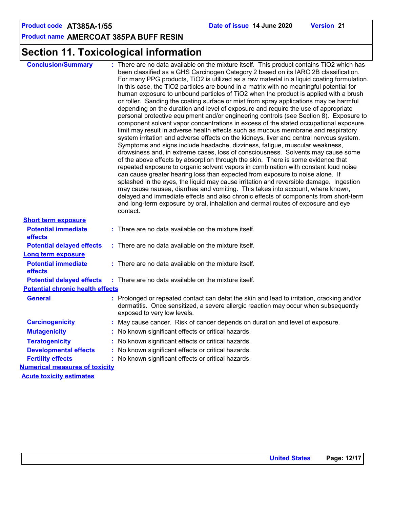# **Section 11. Toxicological information**

| <b>Conclusion/Summary</b>               | : There are no data available on the mixture itself. This product contains TiO2 which has<br>been classified as a GHS Carcinogen Category 2 based on its IARC 2B classification.<br>For many PPG products, TiO2 is utilized as a raw material in a liquid coating formulation.<br>In this case, the TiO2 particles are bound in a matrix with no meaningful potential for<br>human exposure to unbound particles of TiO2 when the product is applied with a brush<br>or roller. Sanding the coating surface or mist from spray applications may be harmful<br>depending on the duration and level of exposure and require the use of appropriate<br>personal protective equipment and/or engineering controls (see Section 8). Exposure to<br>component solvent vapor concentrations in excess of the stated occupational exposure<br>limit may result in adverse health effects such as mucous membrane and respiratory<br>system irritation and adverse effects on the kidneys, liver and central nervous system.<br>Symptoms and signs include headache, dizziness, fatigue, muscular weakness,<br>drowsiness and, in extreme cases, loss of consciousness. Solvents may cause some<br>of the above effects by absorption through the skin. There is some evidence that<br>repeated exposure to organic solvent vapors in combination with constant loud noise<br>can cause greater hearing loss than expected from exposure to noise alone. If<br>splashed in the eyes, the liquid may cause irritation and reversible damage. Ingestion<br>may cause nausea, diarrhea and vomiting. This takes into account, where known,<br>delayed and immediate effects and also chronic effects of components from short-term<br>and long-term exposure by oral, inhalation and dermal routes of exposure and eye<br>contact. |
|-----------------------------------------|------------------------------------------------------------------------------------------------------------------------------------------------------------------------------------------------------------------------------------------------------------------------------------------------------------------------------------------------------------------------------------------------------------------------------------------------------------------------------------------------------------------------------------------------------------------------------------------------------------------------------------------------------------------------------------------------------------------------------------------------------------------------------------------------------------------------------------------------------------------------------------------------------------------------------------------------------------------------------------------------------------------------------------------------------------------------------------------------------------------------------------------------------------------------------------------------------------------------------------------------------------------------------------------------------------------------------------------------------------------------------------------------------------------------------------------------------------------------------------------------------------------------------------------------------------------------------------------------------------------------------------------------------------------------------------------------------------------------------------------------------------------------------------------------------------------------|
| <b>Short term exposure</b>              |                                                                                                                                                                                                                                                                                                                                                                                                                                                                                                                                                                                                                                                                                                                                                                                                                                                                                                                                                                                                                                                                                                                                                                                                                                                                                                                                                                                                                                                                                                                                                                                                                                                                                                                                                                                                                        |
| <b>Potential immediate</b><br>effects   | : There are no data available on the mixture itself.                                                                                                                                                                                                                                                                                                                                                                                                                                                                                                                                                                                                                                                                                                                                                                                                                                                                                                                                                                                                                                                                                                                                                                                                                                                                                                                                                                                                                                                                                                                                                                                                                                                                                                                                                                   |
| <b>Potential delayed effects</b>        | $:$ There are no data available on the mixture itself.                                                                                                                                                                                                                                                                                                                                                                                                                                                                                                                                                                                                                                                                                                                                                                                                                                                                                                                                                                                                                                                                                                                                                                                                                                                                                                                                                                                                                                                                                                                                                                                                                                                                                                                                                                 |
| <b>Long term exposure</b>               |                                                                                                                                                                                                                                                                                                                                                                                                                                                                                                                                                                                                                                                                                                                                                                                                                                                                                                                                                                                                                                                                                                                                                                                                                                                                                                                                                                                                                                                                                                                                                                                                                                                                                                                                                                                                                        |
| <b>Potential immediate</b><br>effects   | $:$ There are no data available on the mixture itself.                                                                                                                                                                                                                                                                                                                                                                                                                                                                                                                                                                                                                                                                                                                                                                                                                                                                                                                                                                                                                                                                                                                                                                                                                                                                                                                                                                                                                                                                                                                                                                                                                                                                                                                                                                 |
| <b>Potential delayed effects</b>        | : There are no data available on the mixture itself.                                                                                                                                                                                                                                                                                                                                                                                                                                                                                                                                                                                                                                                                                                                                                                                                                                                                                                                                                                                                                                                                                                                                                                                                                                                                                                                                                                                                                                                                                                                                                                                                                                                                                                                                                                   |
| <b>Potential chronic health effects</b> |                                                                                                                                                                                                                                                                                                                                                                                                                                                                                                                                                                                                                                                                                                                                                                                                                                                                                                                                                                                                                                                                                                                                                                                                                                                                                                                                                                                                                                                                                                                                                                                                                                                                                                                                                                                                                        |
| <b>General</b>                          | : Prolonged or repeated contact can defat the skin and lead to irritation, cracking and/or<br>dermatitis. Once sensitized, a severe allergic reaction may occur when subsequently<br>exposed to very low levels.                                                                                                                                                                                                                                                                                                                                                                                                                                                                                                                                                                                                                                                                                                                                                                                                                                                                                                                                                                                                                                                                                                                                                                                                                                                                                                                                                                                                                                                                                                                                                                                                       |
| <b>Carcinogenicity</b>                  | : May cause cancer. Risk of cancer depends on duration and level of exposure.                                                                                                                                                                                                                                                                                                                                                                                                                                                                                                                                                                                                                                                                                                                                                                                                                                                                                                                                                                                                                                                                                                                                                                                                                                                                                                                                                                                                                                                                                                                                                                                                                                                                                                                                          |
| <b>Mutagenicity</b>                     | : No known significant effects or critical hazards.                                                                                                                                                                                                                                                                                                                                                                                                                                                                                                                                                                                                                                                                                                                                                                                                                                                                                                                                                                                                                                                                                                                                                                                                                                                                                                                                                                                                                                                                                                                                                                                                                                                                                                                                                                    |
| <b>Teratogenicity</b>                   | : No known significant effects or critical hazards.                                                                                                                                                                                                                                                                                                                                                                                                                                                                                                                                                                                                                                                                                                                                                                                                                                                                                                                                                                                                                                                                                                                                                                                                                                                                                                                                                                                                                                                                                                                                                                                                                                                                                                                                                                    |
| <b>Developmental effects</b>            | : No known significant effects or critical hazards.                                                                                                                                                                                                                                                                                                                                                                                                                                                                                                                                                                                                                                                                                                                                                                                                                                                                                                                                                                                                                                                                                                                                                                                                                                                                                                                                                                                                                                                                                                                                                                                                                                                                                                                                                                    |
| <b>Fertility effects</b>                | : No known significant effects or critical hazards.                                                                                                                                                                                                                                                                                                                                                                                                                                                                                                                                                                                                                                                                                                                                                                                                                                                                                                                                                                                                                                                                                                                                                                                                                                                                                                                                                                                                                                                                                                                                                                                                                                                                                                                                                                    |
| <b>Numerical measures of toxicity</b>   |                                                                                                                                                                                                                                                                                                                                                                                                                                                                                                                                                                                                                                                                                                                                                                                                                                                                                                                                                                                                                                                                                                                                                                                                                                                                                                                                                                                                                                                                                                                                                                                                                                                                                                                                                                                                                        |
| <b>Acute toxicity estimates</b>         |                                                                                                                                                                                                                                                                                                                                                                                                                                                                                                                                                                                                                                                                                                                                                                                                                                                                                                                                                                                                                                                                                                                                                                                                                                                                                                                                                                                                                                                                                                                                                                                                                                                                                                                                                                                                                        |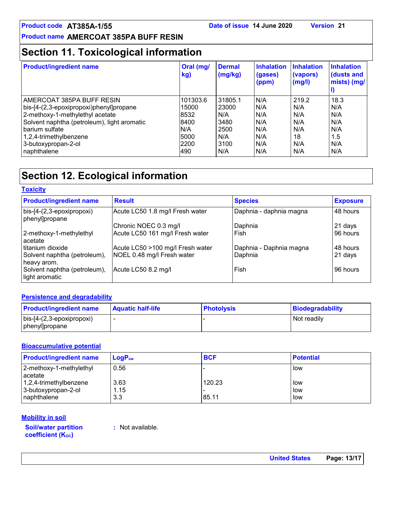### **Section 11. Toxicological information**

| <b>Product/ingredient name</b>              | Oral (mg/<br>kg) | <b>Dermal</b><br>(mg/kg) | <b>Inhalation</b><br>(gases)<br>(ppm) | <b>Inhalation</b><br>(vapors)<br>(mg/l) | <b>Inhalation</b><br>(dusts and<br>mists) (mg/ |
|---------------------------------------------|------------------|--------------------------|---------------------------------------|-----------------------------------------|------------------------------------------------|
| AMERCOAT 385PA BUFF RESIN                   | 101303.6         | 31805.1                  | N/A                                   | 219.2                                   | 18.3                                           |
| bis-[4-(2,3-epoxipropoxi)phenyl]propane     | 15000            | 23000                    | N/A                                   | N/A                                     | N/A                                            |
| 2-methoxy-1-methylethyl acetate             | 8532             | N/A                      | N/A                                   | N/A                                     | N/A                                            |
| Solvent naphtha (petroleum), light aromatic | 8400             | 3480                     | N/A                                   | N/A                                     | N/A                                            |
| barium sulfate                              | N/A              | 2500                     | N/A                                   | N/A                                     | N/A                                            |
| 1,2,4-trimethylbenzene                      | 5000             | N/A                      | N/A                                   | 18                                      | 1.5                                            |
| 3-butoxypropan-2-ol                         | 2200             | 3100                     | N/A                                   | N/A                                     | N/A                                            |
| naphthalene                                 | 490              | N/A                      | N/A                                   | N/A                                     | N/A                                            |

### **Section 12. Ecological information**

| <u> 1978 916 1</u>                             |                                  |                         |                 |
|------------------------------------------------|----------------------------------|-------------------------|-----------------|
| <b>Product/ingredient name</b>                 | <b>Result</b>                    | <b>Species</b>          | <b>Exposure</b> |
| bis-[4-(2,3-epoxipropoxi)<br>phenyl]propane    | Acute LC50 1.8 mg/l Fresh water  | Daphnia - daphnia magna | 48 hours        |
|                                                | Chronic NOEC 0.3 mg/l            | Daphnia                 | 21 days         |
| 2-methoxy-1-methylethyl<br>acetate             | Acute LC50 161 mg/l Fresh water  | Fish                    | 96 hours        |
| titanium dioxide                               | Acute LC50 >100 mg/l Fresh water | Daphnia - Daphnia magna | 48 hours        |
| Solvent naphtha (petroleum),<br>heavy arom.    | NOEL 0.48 mg/l Fresh water       | Daphnia                 | 21 days         |
| Solvent naphtha (petroleum),<br>light aromatic | Acute LC50 8.2 mg/l              | Fish                    | 96 hours        |

### **Persistence and degradability**

**Toxicity**

| <b>Product/ingredient name</b>    | <b>Aquatic half-life</b> | <b>Photolysis</b> | Biodegradability |
|-----------------------------------|--------------------------|-------------------|------------------|
| $\vert$ bis-[4-(2,3-epoxipropoxi) |                          |                   | Not readily      |
| phenyl]propane                    |                          |                   |                  |

#### **Bioaccumulative potential**

| <b>Product/ingredient name</b> | $LogP_{ow}$ | <b>BCF</b> | <b>Potential</b> |
|--------------------------------|-------------|------------|------------------|
| 2-methoxy-1-methylethyl        | 0.56        |            | low              |
| acetate                        |             |            |                  |
| $1,2,4$ -trimethylbenzene      | 3.63        | 120.23     | low              |
| 3-butoxypropan-2-ol            | 1.15        |            | low              |
| naphthalene                    | 3.3         | 85.11      | low              |

#### **Mobility in soil**

**Soil/water partition coefficient (Koc)** 

**:** Not available.

**United States Page: 13/17**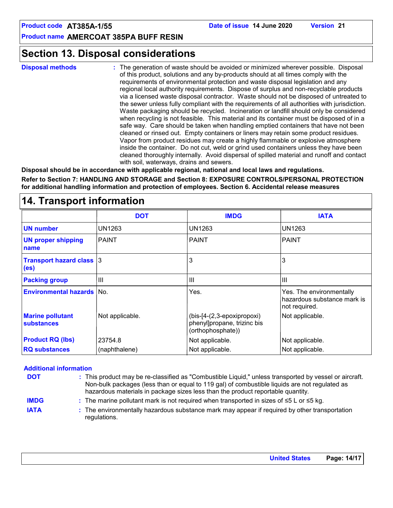### **Section 13. Disposal considerations**

**Disposal methods :**

The generation of waste should be avoided or minimized wherever possible. Disposal of this product, solutions and any by-products should at all times comply with the requirements of environmental protection and waste disposal legislation and any regional local authority requirements. Dispose of surplus and non-recyclable products via a licensed waste disposal contractor. Waste should not be disposed of untreated to the sewer unless fully compliant with the requirements of all authorities with jurisdiction. Waste packaging should be recycled. Incineration or landfill should only be considered when recycling is not feasible. This material and its container must be disposed of in a safe way. Care should be taken when handling emptied containers that have not been cleaned or rinsed out. Empty containers or liners may retain some product residues. Vapor from product residues may create a highly flammable or explosive atmosphere inside the container. Do not cut, weld or grind used containers unless they have been cleaned thoroughly internally. Avoid dispersal of spilled material and runoff and contact with soil, waterways, drains and sewers.

**Disposal should be in accordance with applicable regional, national and local laws and regulations.**

**Refer to Section 7: HANDLING AND STORAGE and Section 8: EXPOSURE CONTROLS/PERSONAL PROTECTION for additional handling information and protection of employees. Section 6. Accidental release measures**

#### PAINT 3 III PAINT 3 III PAINT UN1263 3 III UN1263 UN1263 **DOT IMDG IATA UN number UN proper shipping name Transport hazard class (es) Packing group Environmental hazards** No. The environmentally No. The environmentally and the environmentally hazardous substance mark is not required. **Marine pollutant substances**  $(bis-14-(2,3-epoxi)$  Not applicable. phenyl]propane, trizinc bis (orthophosphate)) **RQ substances** 23754.8 (naphthalene) Not applicable. Not applicable. Not applicable. Not applicable. Not applicable. **Product RQ (lbs)**

### **14. Transport information**

#### **Additional information**

| <b>DOT</b>  | : This product may be re-classified as "Combustible Liquid," unless transported by vessel or aircraft.<br>Non-bulk packages (less than or equal to 119 gal) of combustible liquids are not regulated as<br>hazardous materials in package sizes less than the product reportable quantity. |  |
|-------------|--------------------------------------------------------------------------------------------------------------------------------------------------------------------------------------------------------------------------------------------------------------------------------------------|--|
| <b>IMDG</b> | : The marine pollutant mark is not required when transported in sizes of $\leq 5$ L or $\leq 5$ kg.                                                                                                                                                                                        |  |
| <b>IATA</b> | : The environmentally hazardous substance mark may appear if required by other transportation<br>regulations.                                                                                                                                                                              |  |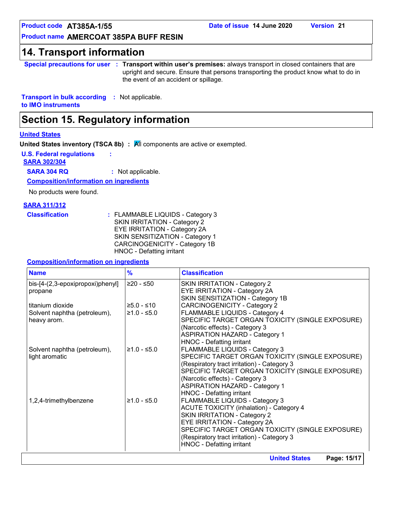### **14. Transport information**

**Special precautions for user Transport within user's premises:** always transport in closed containers that are **:** upright and secure. Ensure that persons transporting the product know what to do in the event of an accident or spillage.

**Transport in bulk according :** Not applicable. **to IMO instruments**

### **Section 15. Regulatory information**

#### **United States**

**United States inventory (TSCA 8b) : All components are active or exempted.** 

**U.S. Federal regulations :**

**SARA 302/304**

**SARA 304 RQ :** Not applicable.

**Composition/information on ingredients**

No products were found.

#### **SARA 311/312**

| <b>Classification</b> | : FLAMMABLE LIQUIDS - Category 3 |
|-----------------------|----------------------------------|
|                       | SKIN IRRITATION - Category 2     |
|                       | EYE IRRITATION - Category 2A     |
|                       | SKIN SENSITIZATION - Category 1  |
|                       | CARCINOGENICITY - Category 1B    |
|                       | HNOC - Defatting irritant        |

#### **Composition/information on ingredients**

| <b>Name</b>                                    | $\frac{9}{6}$ | <b>Classification</b>                                                                                                                                                                                                                                                                          |
|------------------------------------------------|---------------|------------------------------------------------------------------------------------------------------------------------------------------------------------------------------------------------------------------------------------------------------------------------------------------------|
| bis-[4-(2,3-epoxipropoxi)phenyl]<br>propane    | $≥20 - ≤50$   | SKIN IRRITATION - Category 2<br>EYE IRRITATION - Category 2A<br>SKIN SENSITIZATION - Category 1B                                                                                                                                                                                               |
| titanium dioxide                               | $≥5.0 - ≤10$  | <b>CARCINOGENICITY - Category 2</b>                                                                                                                                                                                                                                                            |
| Solvent naphtha (petroleum),<br>heavy arom.    | $≥1.0 - ≤5.0$ | FLAMMABLE LIQUIDS - Category 4<br>SPECIFIC TARGET ORGAN TOXICITY (SINGLE EXPOSURE)<br>(Narcotic effects) - Category 3<br><b>ASPIRATION HAZARD - Category 1</b><br>HNOC - Defatting irritant                                                                                                    |
| Solvent naphtha (petroleum),<br>light aromatic | $≥1.0 - ≤5.0$ | FLAMMABLE LIQUIDS - Category 3<br>SPECIFIC TARGET ORGAN TOXICITY (SINGLE EXPOSURE)<br>(Respiratory tract irritation) - Category 3<br>SPECIFIC TARGET ORGAN TOXICITY (SINGLE EXPOSURE)<br>(Narcotic effects) - Category 3<br><b>ASPIRATION HAZARD - Category 1</b><br>HNOC - Defatting irritant |
| 1,2,4-trimethylbenzene                         | $≥1.0 - ≤5.0$ | FLAMMABLE LIQUIDS - Category 3<br><b>ACUTE TOXICITY (inhalation) - Category 4</b><br><b>SKIN IRRITATION - Category 2</b><br>EYE IRRITATION - Category 2A<br>SPECIFIC TARGET ORGAN TOXICITY (SINGLE EXPOSURE)<br>(Respiratory tract irritation) - Category 3<br>HNOC - Defatting irritant       |

**United States Page: 15/17**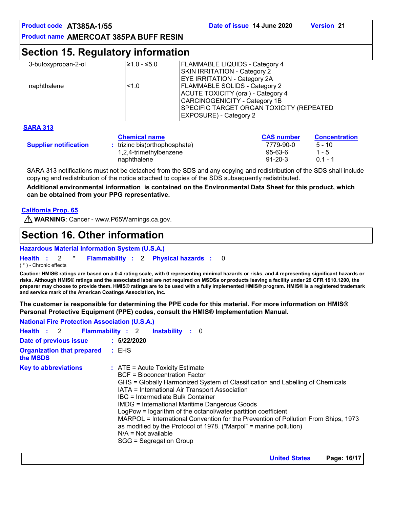### **Section 15. Regulatory information**

| 3-butoxypropan-2-ol | $≥1.0 - ≤5.0$ | <b>FLAMMABLE LIQUIDS - Category 4</b>    |
|---------------------|---------------|------------------------------------------|
|                     |               | SKIN IRRITATION - Category 2             |
|                     |               | <b>EYE IRRITATION - Category 2A</b>      |
| naphthalene         | 1.0           | <b>FLAMMABLE SOLIDS - Category 2</b>     |
|                     |               | ACUTE TOXICITY (oral) - Category 4       |
|                     |               | CARCINOGENICITY - Category 1B            |
|                     |               | SPECIFIC TARGET ORGAN TOXICITY (REPEATED |
|                     |               | <b>EXPOSURE) - Category 2</b>            |
|                     |               |                                          |

#### **SARA 313**

|                              | <b>Chemical name</b>            | <b>CAS number</b> | <b>Concentration</b> |
|------------------------------|---------------------------------|-------------------|----------------------|
| <b>Supplier notification</b> | $:$ trizinc bis(orthophosphate) | 7779-90-0         | $5 - 10$             |
|                              | 1,2,4-trimethylbenzene          | 95-63-6           | $1 - 5$              |
|                              | naphthalene                     | $91 - 20 - 3$     | $01 - 1$             |

SARA 313 notifications must not be detached from the SDS and any copying and redistribution of the SDS shall include copying and redistribution of the notice attached to copies of the SDS subsequently redistributed.

**Additional environmental information is contained on the Environmental Data Sheet for this product, which can be obtained from your PPG representative.**

#### **California Prop. 65**

**WARNING: Cancer - www.P65Warnings.ca.gov.** 

### **Section 16. Other information**

#### **Hazardous Material Information System (U.S.A.)**

**Health** : 2 \* **Flammability** : 2 **Physical hazards** : 0 0

( \* ) - Chronic effects

**Caution: HMIS® ratings are based on a 0-4 rating scale, with 0 representing minimal hazards or risks, and 4 representing significant hazards or risks. Although HMIS® ratings and the associated label are not required on MSDSs or products leaving a facility under 29 CFR 1910.1200, the preparer may choose to provide them. HMIS® ratings are to be used with a fully implemented HMIS® program. HMIS® is a registered trademark and service mark of the American Coatings Association, Inc.**

**The customer is responsible for determining the PPE code for this material. For more information on HMIS® Personal Protective Equipment (PPE) codes, consult the HMIS® Implementation Manual.**

| <b>National Fire Protection Association (U.S.A.)</b> |                                                                                                                                                                                                                                                                                                                                                                                                                                                                                                                                                                                              |
|------------------------------------------------------|----------------------------------------------------------------------------------------------------------------------------------------------------------------------------------------------------------------------------------------------------------------------------------------------------------------------------------------------------------------------------------------------------------------------------------------------------------------------------------------------------------------------------------------------------------------------------------------------|
| Health : 2 Flammability : 2                          | <b>Instability</b> : 0                                                                                                                                                                                                                                                                                                                                                                                                                                                                                                                                                                       |
| Date of previous issue                               | : 5/22/2020                                                                                                                                                                                                                                                                                                                                                                                                                                                                                                                                                                                  |
| <b>Organization that prepared : EHS</b><br>the MSDS  |                                                                                                                                                                                                                                                                                                                                                                                                                                                                                                                                                                                              |
| <b>Key to abbreviations</b>                          | $\therefore$ ATE = Acute Toxicity Estimate<br>BCF = Bioconcentration Factor<br>GHS = Globally Harmonized System of Classification and Labelling of Chemicals<br>IATA = International Air Transport Association<br>IBC = Intermediate Bulk Container<br><b>IMDG = International Maritime Dangerous Goods</b><br>LogPow = logarithm of the octanol/water partition coefficient<br>MARPOL = International Convention for the Prevention of Pollution From Ships, 1973<br>as modified by the Protocol of 1978. ("Marpol" = marine pollution)<br>$N/A = Not available$<br>SGG = Segregation Group |